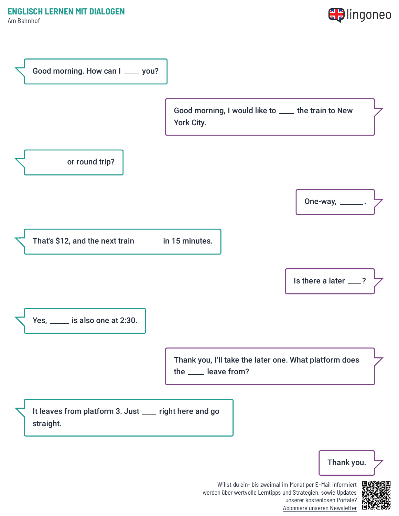Am Bahnhof